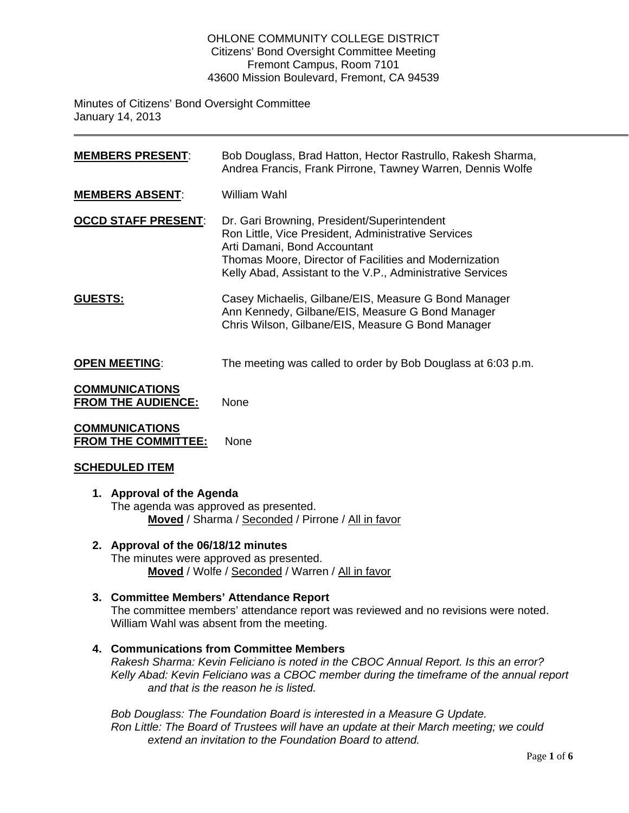#### OHLONE COMMUNITY COLLEGE DISTRICT Citizens' Bond Oversight Committee Meeting Fremont Campus, Room 7101 43600 Mission Boulevard, Fremont, CA 94539

Minutes of Citizens' Bond Oversight Committee January 14, 2013

| <u>MEMBERS PRESENT:</u>                            | Bob Douglass, Brad Hatton, Hector Rastrullo, Rakesh Sharma,<br>Andrea Francis, Frank Pirrone, Tawney Warren, Dennis Wolfe                                                                                                                                  |
|----------------------------------------------------|------------------------------------------------------------------------------------------------------------------------------------------------------------------------------------------------------------------------------------------------------------|
| <b>MEMBERS ABSENT:</b>                             | William Wahl                                                                                                                                                                                                                                               |
| <b>OCCD STAFF PRESENT:</b>                         | Dr. Gari Browning, President/Superintendent<br>Ron Little, Vice President, Administrative Services<br>Arti Damani, Bond Accountant<br>Thomas Moore, Director of Facilities and Modernization<br>Kelly Abad, Assistant to the V.P., Administrative Services |
| <u>GUESTS:</u>                                     | Casey Michaelis, Gilbane/EIS, Measure G Bond Manager<br>Ann Kennedy, Gilbane/EIS, Measure G Bond Manager<br>Chris Wilson, Gilbane/EIS, Measure G Bond Manager                                                                                              |
| <b>OPEN MEETING:</b>                               | The meeting was called to order by Bob Douglass at 6:03 p.m.                                                                                                                                                                                               |
| <b>COMMUNICATIONS</b><br><b>FROM THE AUDIENCE:</b> | None                                                                                                                                                                                                                                                       |
| <u>COMMUNICATIONS</u>                              |                                                                                                                                                                                                                                                            |

**FROM THE COMMITTEE:** None

# **SCHEDULED ITEM**

- **1. Approval of the Agenda** The agenda was approved as presented. **Moved** / Sharma / Seconded / Pirrone / All in favor
- **2. Approval of the 06/18/12 minutes** The minutes were approved as presented. **Moved** / Wolfe / Seconded / Warren / All in favor
- **3. Committee Members' Attendance Report** The committee members' attendance report was reviewed and no revisions were noted. William Wahl was absent from the meeting.
- **4. Communications from Committee Members** *Rakesh Sharma: Kevin Feliciano is noted in the CBOC Annual Report. Is this an error? Kelly Abad: Kevin Feliciano was a CBOC member during the timeframe of the annual report and that is the reason he is listed.*

*Bob Douglass: The Foundation Board is interested in a Measure G Update. Ron Little: The Board of Trustees will have an update at their March meeting; we could extend an invitation to the Foundation Board to attend.*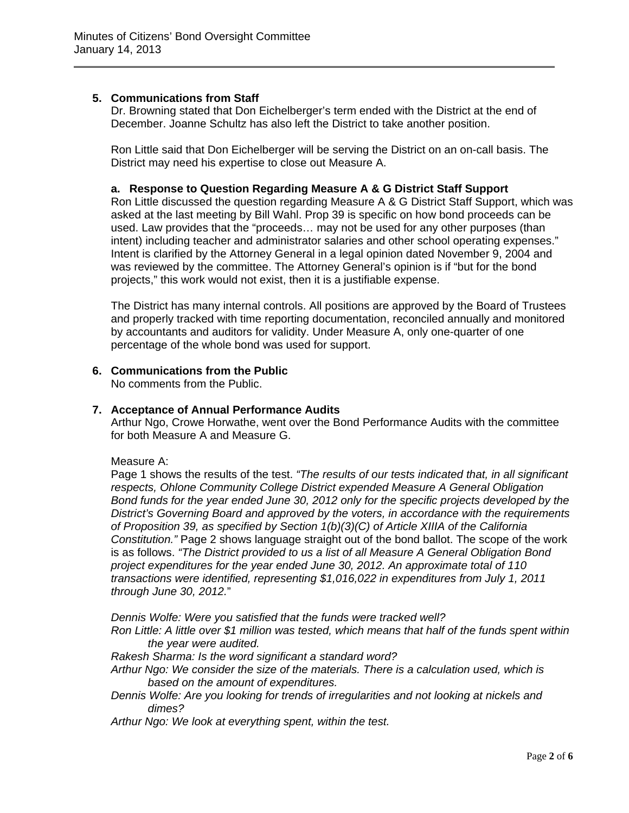# **5. Communications from Staff**

Dr. Browning stated that Don Eichelberger's term ended with the District at the end of December. Joanne Schultz has also left the District to take another position.

Ron Little said that Don Eichelberger will be serving the District on an on-call basis. The District may need his expertise to close out Measure A.

# **a. Response to Question Regarding Measure A & G District Staff Support**

Ron Little discussed the question regarding Measure A & G District Staff Support, which was asked at the last meeting by Bill Wahl. Prop 39 is specific on how bond proceeds can be used. Law provides that the "proceeds… may not be used for any other purposes (than intent) including teacher and administrator salaries and other school operating expenses." Intent is clarified by the Attorney General in a legal opinion dated November 9, 2004 and was reviewed by the committee. The Attorney General's opinion is if "but for the bond projects," this work would not exist, then it is a justifiable expense.

The District has many internal controls. All positions are approved by the Board of Trustees and properly tracked with time reporting documentation, reconciled annually and monitored by accountants and auditors for validity. Under Measure A, only one-quarter of one percentage of the whole bond was used for support.

# **6. Communications from the Public**

No comments from the Public.

### **7. Acceptance of Annual Performance Audits**

Arthur Ngo, Crowe Horwathe, went over the Bond Performance Audits with the committee for both Measure A and Measure G.

#### Measure A:

Page 1 shows the results of the test. *"The results of our tests indicated that, in all significant respects, Ohlone Community College District expended Measure A General Obligation Bond funds for the year ended June 30, 2012 only for the specific projects developed by the District's Governing Board and approved by the voters, in accordance with the requirements of Proposition 39, as specified by Section 1(b)(3)(C) of Article XIIIA of the California Constitution."* Page 2 shows language straight out of the bond ballot. The scope of the work is as follows. *"The District provided to us a list of all Measure A General Obligation Bond project expenditures for the year ended June 30, 2012. An approximate total of 110 transactions were identified, representing \$1,016,022 in expenditures from July 1, 2011 through June 30, 2012.*"

*Dennis Wolfe: Were you satisfied that the funds were tracked well?* 

*Ron Little: A little over \$1 million was tested, which means that half of the funds spent within the year were audited.* 

*Rakesh Sharma: Is the word significant a standard word?* 

*Arthur Ngo: We consider the size of the materials. There is a calculation used, which is based on the amount of expenditures.* 

*Dennis Wolfe: Are you looking for trends of irregularities and not looking at nickels and dimes?* 

*Arthur Ngo: We look at everything spent, within the test.*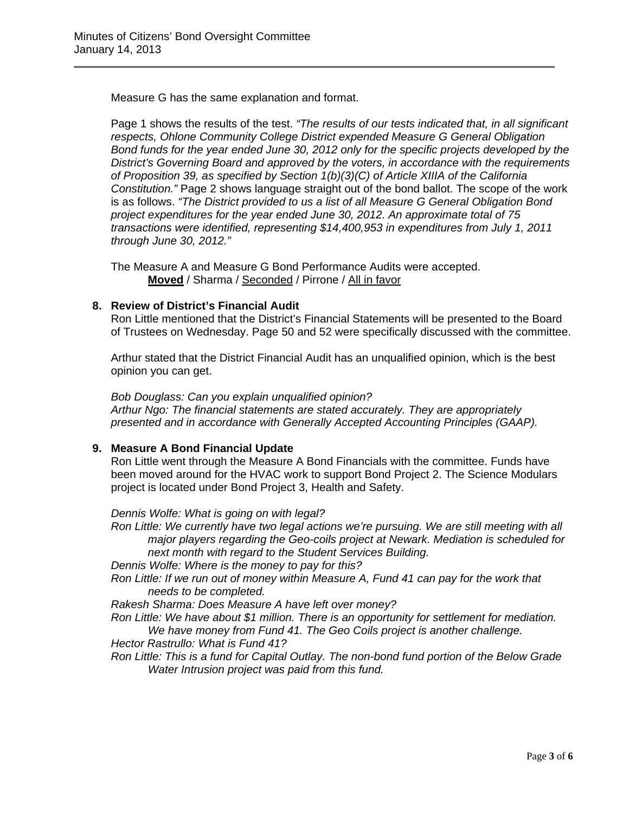Measure G has the same explanation and format.

Page 1 shows the results of the test. *"The results of our tests indicated that, in all significant respects, Ohlone Community College District expended Measure G General Obligation Bond funds for the year ended June 30, 2012 only for the specific projects developed by the District's Governing Board and approved by the voters, in accordance with the requirements of Proposition 39, as specified by Section 1(b)(3)(C) of Article XIIIA of the California Constitution."* Page 2 shows language straight out of the bond ballot. The scope of the work is as follows. *"The District provided to us a list of all Measure G General Obligation Bond project expenditures for the year ended June 30, 2012. An approximate total of 75 transactions were identified, representing \$14,400,953 in expenditures from July 1, 2011 through June 30, 2012."*

The Measure A and Measure G Bond Performance Audits were accepted. **Moved** / Sharma / Seconded / Pirrone / All in favor

### **8. Review of District's Financial Audit**

Ron Little mentioned that the District's Financial Statements will be presented to the Board of Trustees on Wednesday. Page 50 and 52 were specifically discussed with the committee.

Arthur stated that the District Financial Audit has an unqualified opinion, which is the best opinion you can get.

*Bob Douglass: Can you explain unqualified opinion? Arthur Ngo: The financial statements are stated accurately. They are appropriately presented and in accordance with Generally Accepted Accounting Principles (GAAP).*

# **9. Measure A Bond Financial Update**

Ron Little went through the Measure A Bond Financials with the committee. Funds have been moved around for the HVAC work to support Bond Project 2. The Science Modulars project is located under Bond Project 3, Health and Safety.

*Dennis Wolfe: What is going on with legal?* 

*Ron Little: We currently have two legal actions we're pursuing. We are still meeting with all major players regarding the Geo-coils project at Newark. Mediation is scheduled for next month with regard to the Student Services Building.* 

*Dennis Wolfe: Where is the money to pay for this?* 

*Ron Little: If we run out of money within Measure A, Fund 41 can pay for the work that needs to be completed.* 

*Rakesh Sharma: Does Measure A have left over money?* 

*Ron Little: We have about \$1 million. There is an opportunity for settlement for mediation. We have money from Fund 41. The Geo Coils project is another challenge.* 

*Hector Rastrullo: What is Fund 41?* 

*Ron Little: This is a fund for Capital Outlay. The non-bond fund portion of the Below Grade Water Intrusion project was paid from this fund.*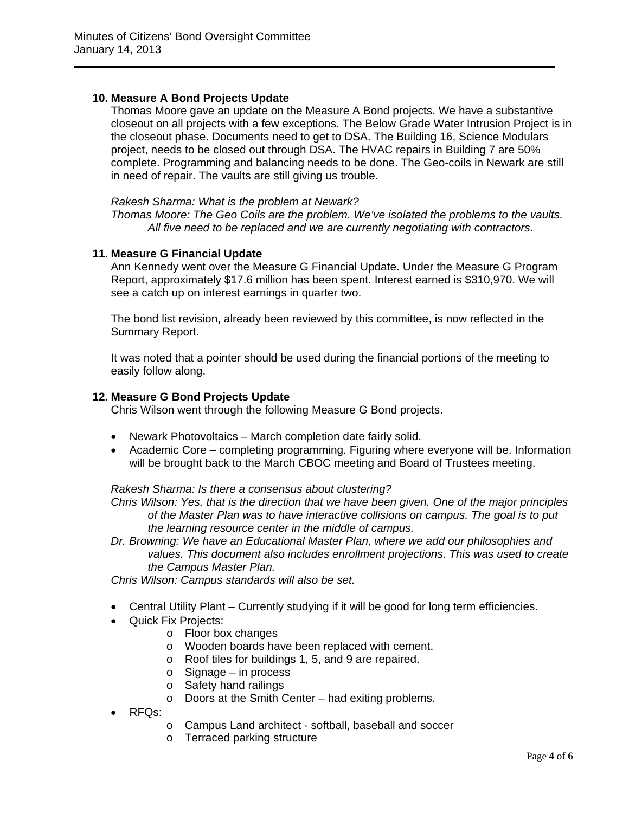# **10. Measure A Bond Projects Update**

Thomas Moore gave an update on the Measure A Bond projects. We have a substantive closeout on all projects with a few exceptions. The Below Grade Water Intrusion Project is in the closeout phase. Documents need to get to DSA. The Building 16, Science Modulars project, needs to be closed out through DSA. The HVAC repairs in Building 7 are 50% complete. Programming and balancing needs to be done. The Geo-coils in Newark are still in need of repair. The vaults are still giving us trouble.

#### *Rakesh Sharma: What is the problem at Newark?*

*Thomas Moore: The Geo Coils are the problem. We've isolated the problems to the vaults. All five need to be replaced and we are currently negotiating with contractors*.

#### **11. Measure G Financial Update**

Ann Kennedy went over the Measure G Financial Update. Under the Measure G Program Report, approximately \$17.6 million has been spent. Interest earned is \$310,970. We will see a catch up on interest earnings in quarter two.

The bond list revision, already been reviewed by this committee, is now reflected in the Summary Report.

It was noted that a pointer should be used during the financial portions of the meeting to easily follow along.

#### **12. Measure G Bond Projects Update**

Chris Wilson went through the following Measure G Bond projects.

- Newark Photovoltaics March completion date fairly solid.
- Academic Core completing programming. Figuring where everyone will be. Information will be brought back to the March CBOC meeting and Board of Trustees meeting.

*Rakesh Sharma: Is there a consensus about clustering?* 

*Chris Wilson: Yes, that is the direction that we have been given. One of the major principles of the Master Plan was to have interactive collisions on campus. The goal is to put the learning resource center in the middle of campus.* 

*Dr. Browning: We have an Educational Master Plan, where we add our philosophies and values. This document also includes enrollment projections. This was used to create the Campus Master Plan.* 

*Chris Wilson: Campus standards will also be set.* 

- Central Utility Plant Currently studying if it will be good for long term efficiencies.
- Quick Fix Projects:
	- o Floor box changes
	- o Wooden boards have been replaced with cement.
	- o Roof tiles for buildings 1, 5, and 9 are repaired.
	- o Signage in process
	- o Safety hand railings
	- o Doors at the Smith Center had exiting problems.
- RFQs:
	- o Campus Land architect softball, baseball and soccer
	- o Terraced parking structure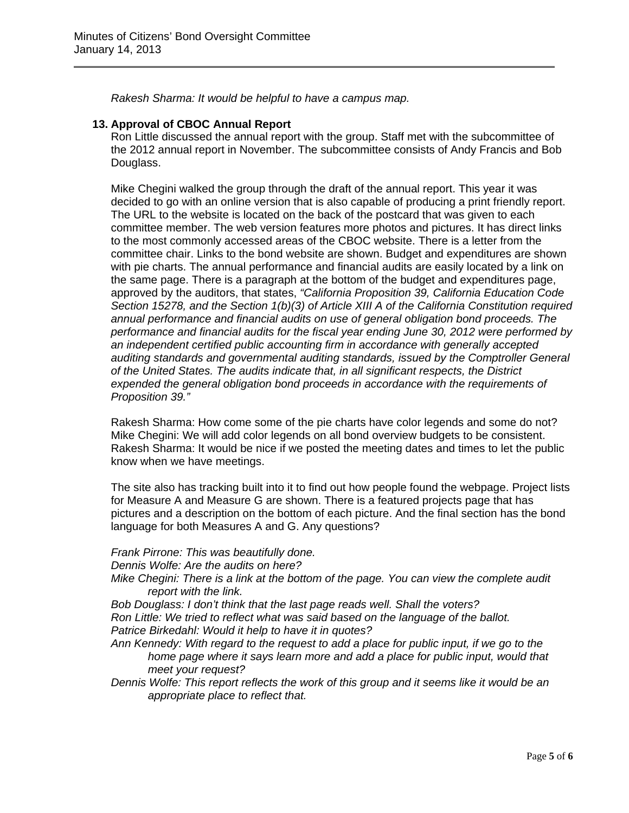*Rakesh Sharma: It would be helpful to have a campus map.* 

### **13. Approval of CBOC Annual Report**

Ron Little discussed the annual report with the group. Staff met with the subcommittee of the 2012 annual report in November. The subcommittee consists of Andy Francis and Bob Douglass.

Mike Chegini walked the group through the draft of the annual report. This year it was decided to go with an online version that is also capable of producing a print friendly report. The URL to the website is located on the back of the postcard that was given to each committee member. The web version features more photos and pictures. It has direct links to the most commonly accessed areas of the CBOC website. There is a letter from the committee chair. Links to the bond website are shown. Budget and expenditures are shown with pie charts. The annual performance and financial audits are easily located by a link on the same page. There is a paragraph at the bottom of the budget and expenditures page, approved by the auditors, that states, *"California Proposition 39, California Education Code Section 15278, and the Section 1(b)(3) of Article XIII A of the California Constitution required annual performance and financial audits on use of general obligation bond proceeds. The performance and financial audits for the fiscal year ending June 30, 2012 were performed by an independent certified public accounting firm in accordance with generally accepted auditing standards and governmental auditing standards, issued by the Comptroller General of the United States. The audits indicate that, in all significant respects, the District expended the general obligation bond proceeds in accordance with the requirements of Proposition 39."*

Rakesh Sharma: How come some of the pie charts have color legends and some do not? Mike Chegini: We will add color legends on all bond overview budgets to be consistent. Rakesh Sharma: It would be nice if we posted the meeting dates and times to let the public know when we have meetings.

The site also has tracking built into it to find out how people found the webpage. Project lists for Measure A and Measure G are shown. There is a featured projects page that has pictures and a description on the bottom of each picture. And the final section has the bond language for both Measures A and G. Any questions?

*Frank Pirrone: This was beautifully done.* 

*Dennis Wolfe: Are the audits on here?* 

*Mike Chegini: There is a link at the bottom of the page. You can view the complete audit report with the link.* 

*Bob Douglass: I don't think that the last page reads well. Shall the voters? Ron Little: We tried to reflect what was said based on the language of the ballot. Patrice Birkedahl: Would it help to have it in quotes?* 

- *Ann Kennedy: With regard to the request to add a place for public input, if we go to the home page where it says learn more and add a place for public input, would that meet your request?*
- *Dennis Wolfe: This report reflects the work of this group and it seems like it would be an appropriate place to reflect that.*